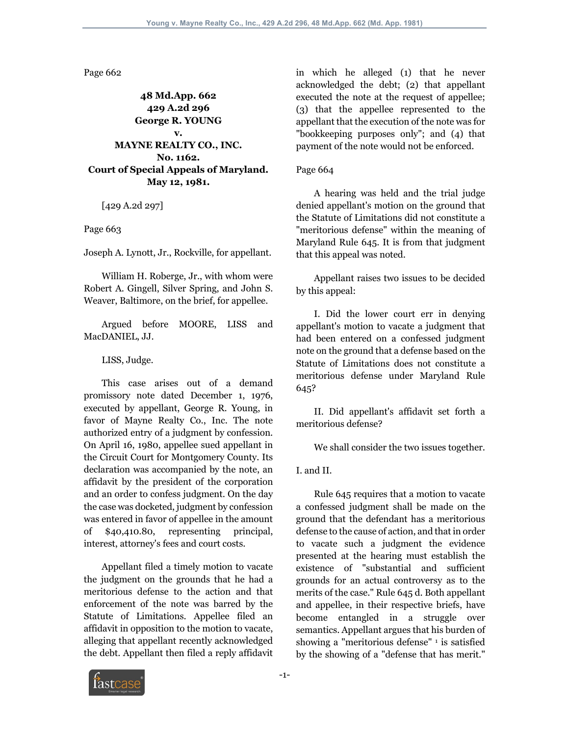Page 662

## **48 Md.App. 662 429 A.2d 296 George R. YOUNG v. MAYNE REALTY CO., INC. No. 1162. Court of Special Appeals of Maryland. May 12, 1981.**

[429 A.2d 297]

Page 663

Joseph A. Lynott, Jr., Rockville, for appellant.

 William H. Roberge, Jr., with whom were Robert A. Gingell, Silver Spring, and John S. Weaver, Baltimore, on the brief, for appellee.

 Argued before MOORE, LISS and MacDANIEL, JJ.

LISS, Judge.

 This case arises out of a demand promissory note dated December 1, 1976, executed by appellant, George R. Young, in favor of Mayne Realty Co., Inc. The note authorized entry of a judgment by confession. On April 16, 1980, appellee sued appellant in the Circuit Court for Montgomery County. Its declaration was accompanied by the note, an affidavit by the president of the corporation and an order to confess judgment. On the day the case was docketed, judgment by confession was entered in favor of appellee in the amount of \$40,410.80, representing principal, interest, attorney's fees and court costs.

 Appellant filed a timely motion to vacate the judgment on the grounds that he had a meritorious defense to the action and that enforcement of the note was barred by the Statute of Limitations. Appellee filed an affidavit in opposition to the motion to vacate, alleging that appellant recently acknowledged the debt. Appellant then filed a reply affidavit in which he alleged (1) that he never acknowledged the debt; (2) that appellant executed the note at the request of appellee; (3) that the appellee represented to the appellant that the execution of the note was for "bookkeeping purposes only"; and (4) that payment of the note would not be enforced.

#### Page 664

 A hearing was held and the trial judge denied appellant's motion on the ground that the Statute of Limitations did not constitute a "meritorious defense" within the meaning of Maryland Rule 645. It is from that judgment that this appeal was noted.

 Appellant raises two issues to be decided by this appeal:

 I. Did the lower court err in denying appellant's motion to vacate a judgment that had been entered on a confessed judgment note on the ground that a defense based on the Statute of Limitations does not constitute a meritorious defense under Maryland Rule 645?

 II. Did appellant's affidavit set forth a meritorious defense?

We shall consider the two issues together.

I. and II.

 Rule 645 requires that a motion to vacate a confessed judgment shall be made on the ground that the defendant has a meritorious defense to the cause of action, and that in order to vacate such a judgment the evidence presented at the hearing must establish the existence of "substantial and sufficient grounds for an actual controversy as to the merits of the case." Rule 645 d. Both appellant and appellee, in their respective briefs, have become entangled in a struggle over semantics. Appellant argues that his burden of showing a "meritorious defense" 1 is satisfied by the showing of a "defense that has merit."

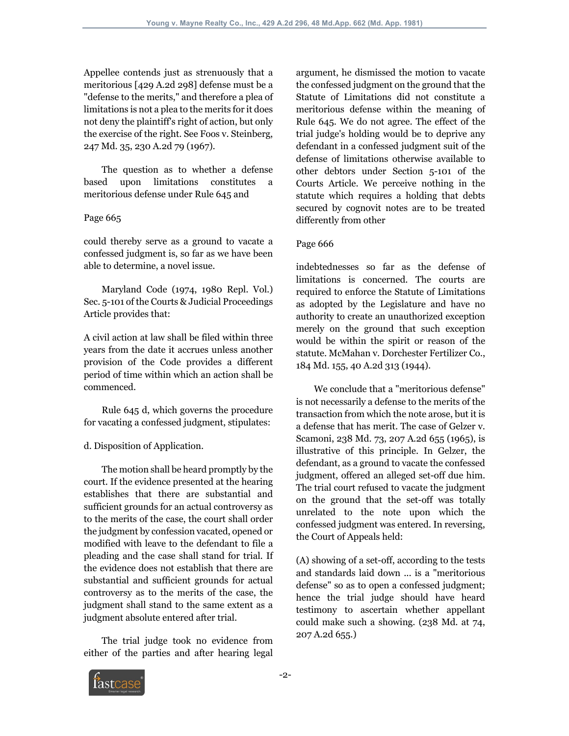Appellee contends just as strenuously that a meritorious [429 A.2d 298] defense must be a "defense to the merits," and therefore a plea of limitations is not a plea to the merits for it does not deny the plaintiff's right of action, but only the exercise of the right. See Foos v. Steinberg, 247 Md. 35, 230 A.2d 79 (1967).

 The question as to whether a defense based upon limitations constitutes a meritorious defense under Rule 645 and

### Page 665

could thereby serve as a ground to vacate a confessed judgment is, so far as we have been able to determine, a novel issue.

 Maryland Code (1974, 1980 Repl. Vol.) Sec. 5-101 of the Courts & Judicial Proceedings Article provides that:

A civil action at law shall be filed within three years from the date it accrues unless another provision of the Code provides a different period of time within which an action shall be commenced.

 Rule 645 d, which governs the procedure for vacating a confessed judgment, stipulates:

# d. Disposition of Application.

 The motion shall be heard promptly by the court. If the evidence presented at the hearing establishes that there are substantial and sufficient grounds for an actual controversy as to the merits of the case, the court shall order the judgment by confession vacated, opened or modified with leave to the defendant to file a pleading and the case shall stand for trial. If the evidence does not establish that there are substantial and sufficient grounds for actual controversy as to the merits of the case, the judgment shall stand to the same extent as a judgment absolute entered after trial.

 The trial judge took no evidence from either of the parties and after hearing legal argument, he dismissed the motion to vacate the confessed judgment on the ground that the Statute of Limitations did not constitute a meritorious defense within the meaning of Rule 645. We do not agree. The effect of the trial judge's holding would be to deprive any defendant in a confessed judgment suit of the defense of limitations otherwise available to other debtors under Section 5-101 of the Courts Article. We perceive nothing in the statute which requires a holding that debts secured by cognovit notes are to be treated differently from other

### Page 666

indebtednesses so far as the defense of limitations is concerned. The courts are required to enforce the Statute of Limitations as adopted by the Legislature and have no authority to create an unauthorized exception merely on the ground that such exception would be within the spirit or reason of the statute. McMahan v. Dorchester Fertilizer Co., 184 Md. 155, 40 A.2d 313 (1944).

 We conclude that a "meritorious defense" is not necessarily a defense to the merits of the transaction from which the note arose, but it is a defense that has merit. The case of Gelzer v. Scamoni, 238 Md. 73, 207 A.2d 655 (1965), is illustrative of this principle. In Gelzer, the defendant, as a ground to vacate the confessed judgment, offered an alleged set-off due him. The trial court refused to vacate the judgment on the ground that the set-off was totally unrelated to the note upon which the confessed judgment was entered. In reversing, the Court of Appeals held:

(A) showing of a set-off, according to the tests and standards laid down ... is a "meritorious defense" so as to open a confessed judgment; hence the trial judge should have heard testimony to ascertain whether appellant could make such a showing. (238 Md. at 74, 207 A.2d 655.)

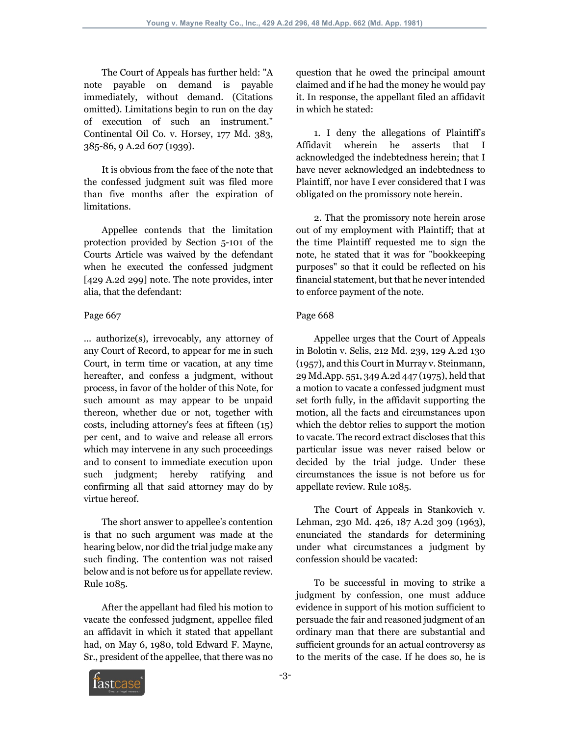The Court of Appeals has further held: "A note payable on demand is payable immediately, without demand. (Citations omitted). Limitations begin to run on the day of execution of such an instrument." Continental Oil Co. v. Horsey, 177 Md. 383, 385-86, 9 A.2d 607 (1939).

 It is obvious from the face of the note that the confessed judgment suit was filed more than five months after the expiration of limitations.

 Appellee contends that the limitation protection provided by Section 5-101 of the Courts Article was waived by the defendant when he executed the confessed judgment [429 A.2d 299] note. The note provides, inter alia, that the defendant:

#### Page 667

... authorize(s), irrevocably, any attorney of any Court of Record, to appear for me in such Court, in term time or vacation, at any time hereafter, and confess a judgment, without process, in favor of the holder of this Note, for such amount as may appear to be unpaid thereon, whether due or not, together with costs, including attorney's fees at fifteen (15) per cent, and to waive and release all errors which may intervene in any such proceedings and to consent to immediate execution upon such judgment; hereby ratifying and confirming all that said attorney may do by virtue hereof.

 The short answer to appellee's contention is that no such argument was made at the hearing below, nor did the trial judge make any such finding. The contention was not raised below and is not before us for appellate review. Rule 1085.

 After the appellant had filed his motion to vacate the confessed judgment, appellee filed an affidavit in which it stated that appellant had, on May 6, 1980, told Edward F. Mayne, Sr., president of the appellee, that there was no question that he owed the principal amount claimed and if he had the money he would pay it. In response, the appellant filed an affidavit in which he stated:

 1. I deny the allegations of Plaintiff's Affidavit wherein he asserts that I acknowledged the indebtedness herein; that I have never acknowledged an indebtedness to Plaintiff, nor have I ever considered that I was obligated on the promissory note herein.

 2. That the promissory note herein arose out of my employment with Plaintiff; that at the time Plaintiff requested me to sign the note, he stated that it was for "bookkeeping purposes" so that it could be reflected on his financial statement, but that he never intended to enforce payment of the note.

#### Page 668

 Appellee urges that the Court of Appeals in Bolotin v. Selis, 212 Md. 239, 129 A.2d 130 (1957), and this Court in Murray v. Steinmann, 29 Md.App. 551, 349 A.2d 447 (1975), held that a motion to vacate a confessed judgment must set forth fully, in the affidavit supporting the motion, all the facts and circumstances upon which the debtor relies to support the motion to vacate. The record extract discloses that this particular issue was never raised below or decided by the trial judge. Under these circumstances the issue is not before us for appellate review. Rule 1085.

 The Court of Appeals in Stankovich v. Lehman, 230 Md. 426, 187 A.2d 309 (1963), enunciated the standards for determining under what circumstances a judgment by confession should be vacated:

 To be successful in moving to strike a judgment by confession, one must adduce evidence in support of his motion sufficient to persuade the fair and reasoned judgment of an ordinary man that there are substantial and sufficient grounds for an actual controversy as to the merits of the case. If he does so, he is